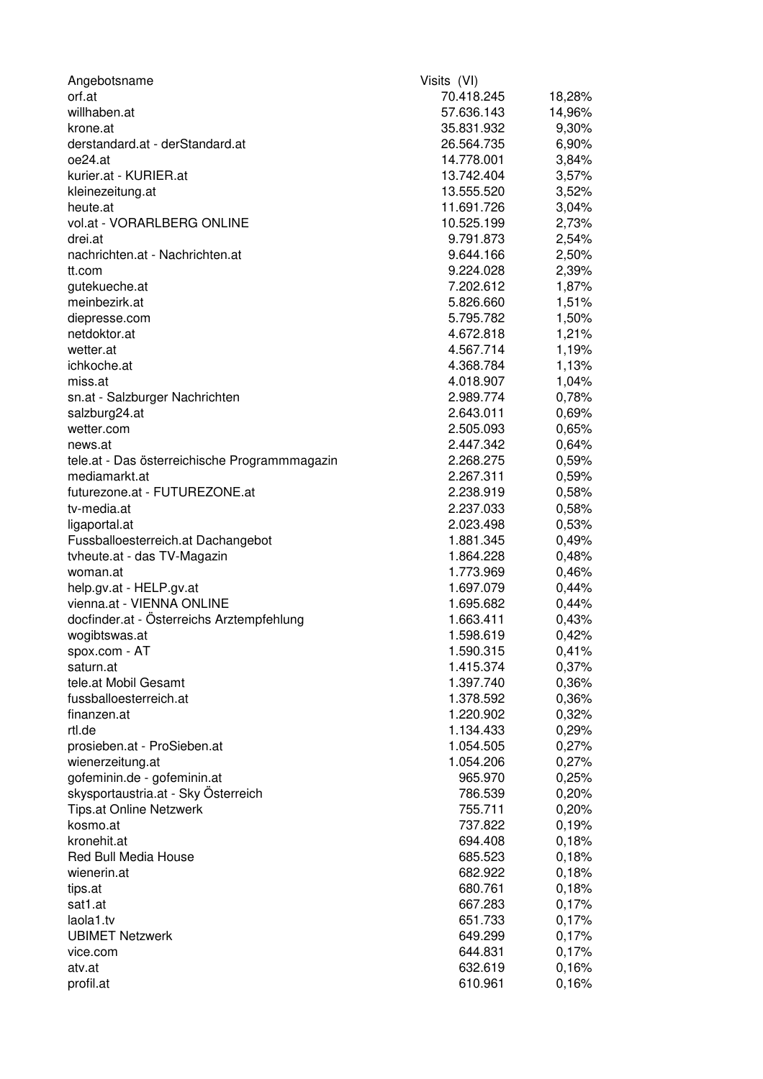| Angebotsname                                  | Visits (VI) |        |
|-----------------------------------------------|-------------|--------|
| orf.at                                        | 70.418.245  | 18,28% |
| willhaben.at                                  | 57.636.143  | 14,96% |
| krone.at                                      | 35.831.932  | 9,30%  |
| derstandard.at - derStandard.at               | 26.564.735  | 6,90%  |
| oe24.at                                       | 14.778.001  | 3,84%  |
| kurier.at - KURIER.at                         | 13.742.404  | 3,57%  |
| kleinezeitung.at                              | 13.555.520  | 3,52%  |
| heute.at                                      | 11.691.726  | 3,04%  |
| vol.at - VORARLBERG ONLINE                    | 10.525.199  | 2,73%  |
| drei.at                                       | 9.791.873   | 2,54%  |
| nachrichten.at - Nachrichten.at               | 9.644.166   | 2,50%  |
| tt.com                                        | 9.224.028   | 2,39%  |
| gutekueche.at                                 | 7.202.612   | 1,87%  |
| meinbezirk.at                                 | 5.826.660   | 1,51%  |
| diepresse.com                                 | 5.795.782   | 1,50%  |
| netdoktor.at                                  | 4.672.818   | 1,21%  |
| wetter.at                                     | 4.567.714   | 1,19%  |
| ichkoche.at                                   | 4.368.784   | 1,13%  |
| miss.at                                       | 4.018.907   | 1,04%  |
| sn.at - Salzburger Nachrichten                | 2.989.774   | 0,78%  |
| salzburg24.at                                 | 2.643.011   | 0,69%  |
| wetter.com                                    | 2.505.093   | 0,65%  |
| news.at                                       | 2.447.342   | 0,64%  |
| tele.at - Das österreichische Programmmagazin | 2.268.275   | 0,59%  |
| mediamarkt.at                                 | 2.267.311   | 0,59%  |
| futurezone.at - FUTUREZONE.at                 | 2.238.919   | 0,58%  |
| tv-media.at                                   |             |        |
|                                               | 2.237.033   | 0,58%  |
| ligaportal.at                                 | 2.023.498   | 0,53%  |
| Fussballoesterreich.at Dachangebot            | 1.881.345   | 0,49%  |
| tyheute.at - das TV-Magazin                   | 1.864.228   | 0,48%  |
| woman.at                                      | 1.773.969   | 0,46%  |
| help.gv.at - HELP.gv.at                       | 1.697.079   | 0,44%  |
| vienna.at - VIENNA ONLINE                     | 1.695.682   | 0,44%  |
| docfinder.at - Österreichs Arztempfehlung     | 1.663.411   | 0,43%  |
| wogibtswas.at                                 | 1.598.619   | 0,42%  |
| spox.com - AT                                 | 1.590.315   | 0,41%  |
| saturn.at                                     | 1.415.374   | 0,37%  |
| tele.at Mobil Gesamt                          | 1.397.740   | 0,36%  |
| fussballoesterreich.at                        | 1.378.592   | 0,36%  |
| finanzen.at                                   | 1.220.902   | 0,32%  |
| rtl.de                                        | 1.134.433   | 0,29%  |
| prosieben.at - ProSieben.at                   | 1.054.505   | 0,27%  |
| wienerzeitung.at                              | 1.054.206   | 0,27%  |
| gofeminin.de - gofeminin.at                   | 965.970     | 0,25%  |
| skysportaustria.at - Sky Österreich           | 786.539     | 0,20%  |
| <b>Tips.at Online Netzwerk</b>                | 755.711     | 0,20%  |
| kosmo.at                                      | 737.822     | 0,19%  |
| kronehit.at                                   | 694.408     | 0,18%  |
| <b>Red Bull Media House</b>                   | 685.523     | 0,18%  |
| wienerin.at                                   | 682.922     | 0,18%  |
| tips.at                                       | 680.761     | 0,18%  |
| sat1.at                                       | 667.283     | 0,17%  |
| laola1.tv                                     | 651.733     | 0,17%  |
| <b>UBIMET Netzwerk</b>                        | 649.299     | 0,17%  |
| vice.com                                      | 644.831     | 0,17%  |
| atv.at                                        | 632.619     | 0,16%  |
| profil.at                                     | 610.961     | 0,16%  |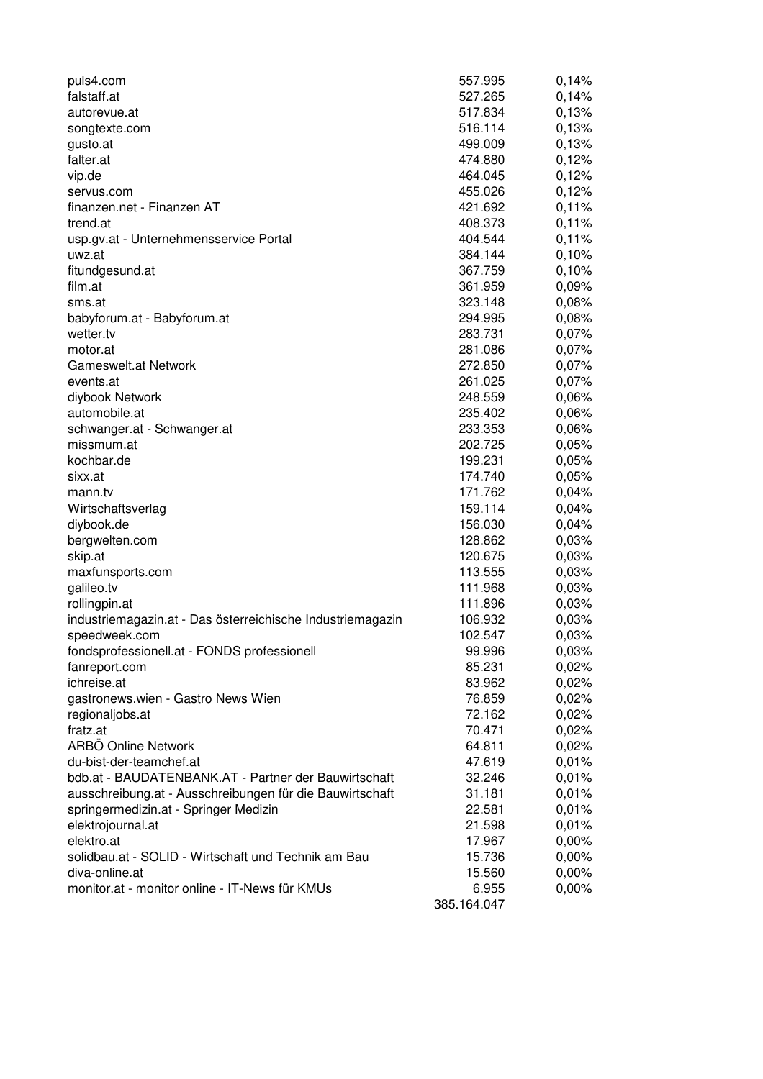| puls4.com                                                        | 557.995              | 0,14% |
|------------------------------------------------------------------|----------------------|-------|
| falstaff.at                                                      | 527.265              | 0,14% |
| autorevue.at                                                     | 517.834              | 0,13% |
| songtexte.com                                                    | 516.114              | 0,13% |
| gusto.at                                                         | 499.009              | 0,13% |
| falter.at                                                        | 474.880              | 0,12% |
| vip.de                                                           | 464.045              | 0,12% |
| servus.com                                                       | 455.026              | 0,12% |
| finanzen.net - Finanzen AT                                       | 421.692              | 0,11% |
| trend.at                                                         | 408.373              | 0,11% |
| usp.gv.at - Unternehmensservice Portal                           | 404.544              | 0,11% |
| uwz.at                                                           | 384.144              | 0,10% |
| fitundgesund.at                                                  | 367.759              | 0,10% |
| film.at                                                          | 361.959              | 0,09% |
| sms.at                                                           | 323.148              | 0,08% |
| babyforum.at - Babyforum.at                                      | 294.995              | 0,08% |
| wetter.tv                                                        | 283.731              | 0,07% |
| motor.at                                                         | 281.086              | 0,07% |
| <b>Gameswelt.at Network</b>                                      | 272.850              | 0,07% |
| events.at                                                        | 261.025              | 0,07% |
| diybook Network                                                  | 248.559              | 0,06% |
| automobile.at                                                    | 235.402              | 0,06% |
| schwanger.at - Schwanger.at                                      | 233.353              | 0,06% |
| missmum.at                                                       | 202.725              | 0,05% |
| kochbar.de                                                       | 199.231              | 0,05% |
| sixx.at                                                          | 174.740              | 0,05% |
| mann.tv                                                          | 171.762              | 0,04% |
| Wirtschaftsverlag                                                | 159.114              | 0,04% |
| diybook.de                                                       | 156.030              | 0,04% |
| bergwelten.com                                                   | 128.862              | 0,03% |
| skip.at                                                          | 120.675              | 0,03% |
| maxfunsports.com                                                 | 113.555              | 0,03% |
| galileo.tv                                                       | 111.968              | 0,03% |
| rollingpin.at                                                    | 111.896              | 0,03% |
| industriemagazin.at - Das österreichische Industriemagazin       | 106.932              | 0,03% |
| speedweek.com                                                    | 102.547              | 0,03% |
| fondsprofessionell.at - FONDS professionell                      | 99.996               | 0,03% |
| fanreport.com                                                    | 85.231               | 0,02% |
| ichreise.at                                                      | 83.962               | 0,02% |
| gastronews.wien - Gastro News Wien                               | 76.859               | 0,02% |
| regionaljobs.at                                                  | 72.162               | 0,02% |
| fratz.at                                                         | 70.471               | 0,02% |
| ARBÖ Online Network                                              | 64.811               | 0,02% |
| du-bist-der-teamchef.at                                          | 47.619               | 0,01% |
| bdb.at - BAUDATENBANK.AT - Partner der Bauwirtschaft             | 32.246               | 0,01% |
| ausschreibung.at - Ausschreibungen für die Bauwirtschaft         | 31.181               | 0,01% |
| springermedizin.at - Springer Medizin                            | 22.581               | 0,01% |
| elektrojournal.at                                                | 21.598               | 0,01% |
| elektro.at                                                       | 17.967               | 0,00% |
| solidbau.at - SOLID - Wirtschaft und Technik am Bau              | 15.736               | 0,00% |
| diva-online.at<br>monitor.at - monitor online - IT-News für KMUs | 15.560               | 0,00% |
|                                                                  | 6.955<br>385.164.047 | 0,00% |
|                                                                  |                      |       |